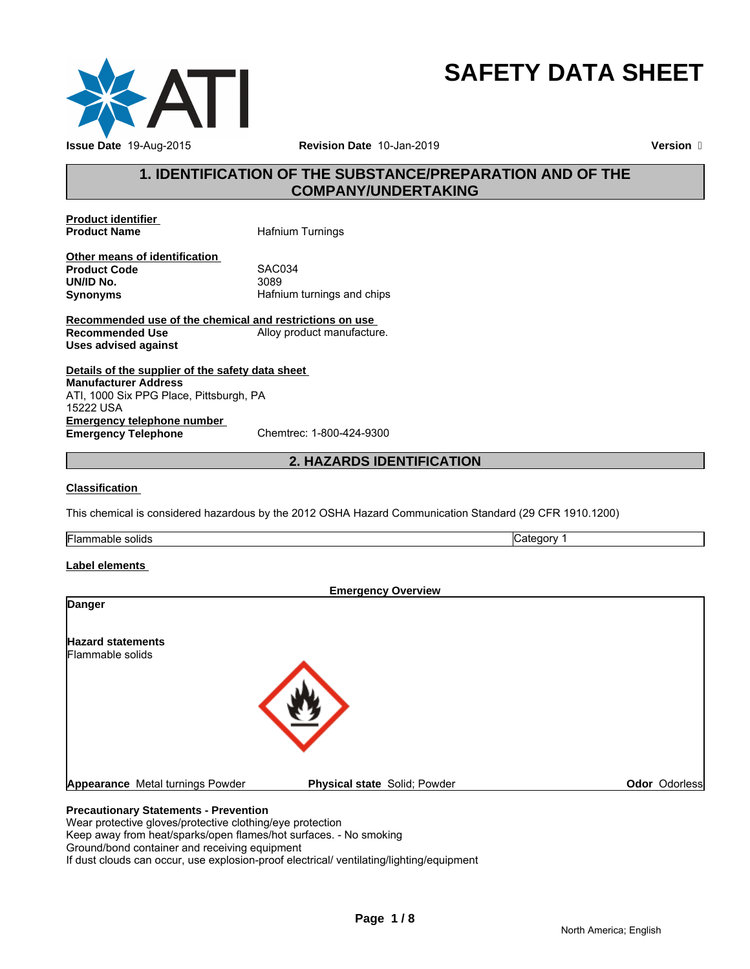

# **SAFETY DATA SHEET**

# **1. IDENTIFICATION OF THE SUBSTANCE/PREPARATION AND OF THE COMPANY/UNDERTAKING**

**Product identifier** 

**Hafnium Turnings** 

**Other means of identification**<br>**Product Code** SAC034 **Product Code** SACOS<br> **UN/ID No.** 3089 **UN/ID No.**<br>Synonyms **Synonyms** Hafnium turnings and chips

**Recommended use of the chemical and restrictions on use Recommended Use** Alloy product manufacture. **Uses advised against**

**Details of the supplier of the safety data sheet Emergency telephone number**<br> **Emergency Telephone**<br>
Chemtrec: 1-800-424-9300 **Emergency Telephone Manufacturer Address** ATI, 1000 Six PPG Place, Pittsburgh, PA 15222 USA

# **2. HAZARDS IDENTIFICATION**

#### **Classification**

This chemical is considered hazardous by the 2012 OSHA Hazard Communication Standard (29 CFR 1910.1200)

**Flammable solids** Category 1

### **Label elements**

|                                              | <b>Emergency Overview</b>    |               |
|----------------------------------------------|------------------------------|---------------|
| <b>Danger</b>                                |                              |               |
| <b>Hazard statements</b><br>Flammable solids |                              |               |
|                                              |                              |               |
|                                              |                              |               |
|                                              |                              |               |
|                                              |                              |               |
| Appearance Metal turnings Powder             | Physical state Solid; Powder | Odor Odorless |
| <b>Precautionary Statements - Prevention</b> |                              |               |
|                                              |                              |               |

Wear protective gloves/protective clothing/eye protection Keep away from heat/sparks/open flames/hot surfaces. - No smoking Ground/bond container and receiving equipment

If dust clouds can occur, use explosion-proof electrical/ ventilating/lighting/equipment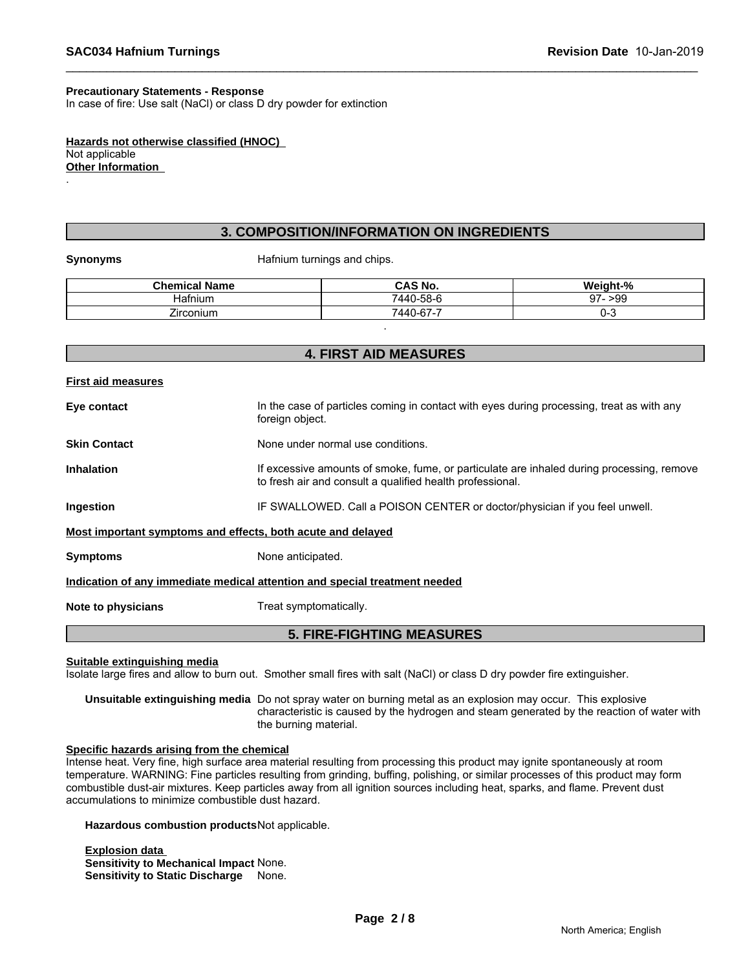#### **Precautionary Statements - Response**

In case of fire: Use salt (NaCl) or class D dry powder for extinction

**Hazards not otherwise classified (HNOC)**  Not applicable **Other Information** 

#### **3. COMPOSITION/INFORMATION ON INGREDIENTS**

.

**Synonyms** Hafnium turnings and chips.

| <b>Chemical Name</b> | <b>CAS No.</b> | Weinht-%         |
|----------------------|----------------|------------------|
| Hafnium              | 7440-58-6      | ∘>99<br>97-<br>ັ |
| --<br>Zirconium      | 7440-67-7      | 7-C              |
|                      |                |                  |

# **4. FIRST AID MEASURES First aid measures Eye contact** In the case of particles coming in contact with eyes during processing, treat as with any foreign object. **Skin Contact** None under normal use conditions. **Inhalation** If excessive amounts of smoke, fume, or particulate are inhaled during processing, remove to fresh air and consult a qualified health professional. **Ingestion IF SWALLOWED. Call a POISON CENTER or doctor/physician if you feel unwell. Most important symptoms and effects, both acute and delayed Symptoms** None anticipated. **Indication of any immediate medical attention and special treatment needed Note to physicians** Treat symptomatically. **5. FIRE-FIGHTING MEASURES**

**Suitable extinguishing media**

Isolate large fires and allow to burn out. Smother small fires with salt (NaCl) or class D dry powder fire extinguisher.

**Unsuitable extinguishing media** Do not spray water on burning metal as an explosion may occur. This explosive characteristic is caused by the hydrogen and steam generated by the reaction of water with the burning material.

#### **Specific hazards arising from the chemical**

Intense heat. Very fine, high surface area material resulting from processing this product may ignite spontaneously at room temperature. WARNING: Fine particles resulting from grinding, buffing, polishing, or similar processes of this product may form combustible dust-air mixtures. Keep particles away from all ignition sources including heat, sparks, and flame. Prevent dust accumulations to minimize combustible dust hazard.

**Hazardous combustion products**Not applicable.

**Explosion data Sensitivity to Mechanical Impact** None. **Sensitivity to Static Discharge** None.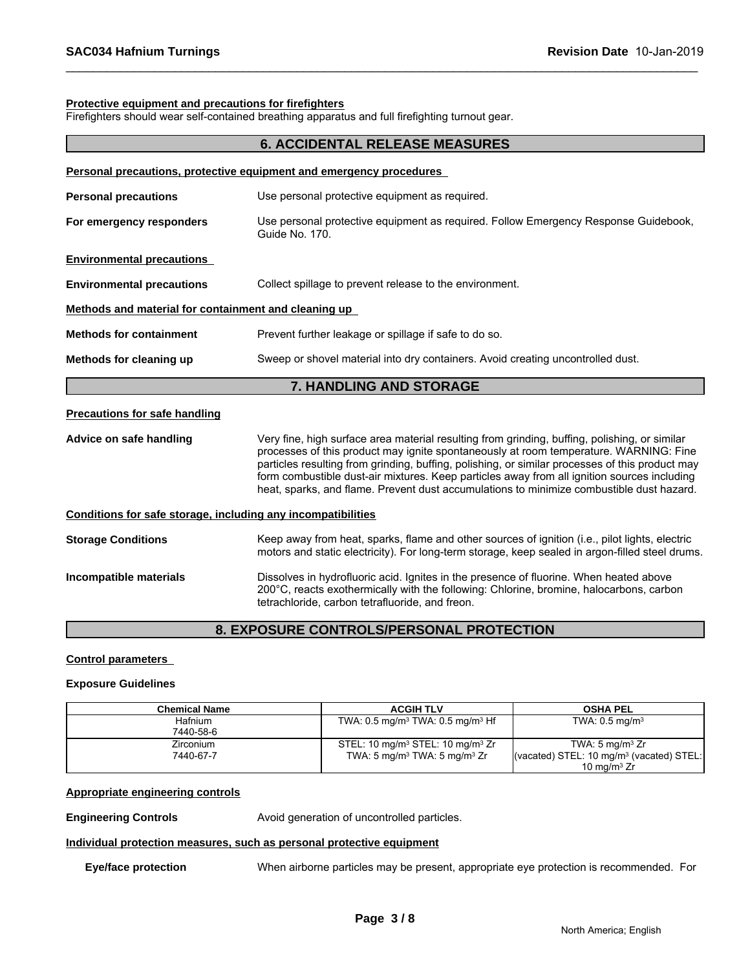#### **Protective equipment and precautions for firefighters**

Firefighters should wear self-contained breathing apparatus and full firefighting turnout gear.

|                                                              | <b>6. ACCIDENTAL RELEASE MEASURES</b>                                                                                                                                                                                                                                                                                                                                                                                                                                                |  |  |
|--------------------------------------------------------------|--------------------------------------------------------------------------------------------------------------------------------------------------------------------------------------------------------------------------------------------------------------------------------------------------------------------------------------------------------------------------------------------------------------------------------------------------------------------------------------|--|--|
|                                                              | Personal precautions, protective equipment and emergency procedures                                                                                                                                                                                                                                                                                                                                                                                                                  |  |  |
| <b>Personal precautions</b>                                  | Use personal protective equipment as required.                                                                                                                                                                                                                                                                                                                                                                                                                                       |  |  |
| For emergency responders                                     | Use personal protective equipment as required. Follow Emergency Response Guidebook,<br>Guide No. 170.                                                                                                                                                                                                                                                                                                                                                                                |  |  |
| <b>Environmental precautions</b>                             |                                                                                                                                                                                                                                                                                                                                                                                                                                                                                      |  |  |
| <b>Environmental precautions</b>                             | Collect spillage to prevent release to the environment.                                                                                                                                                                                                                                                                                                                                                                                                                              |  |  |
| Methods and material for containment and cleaning up         |                                                                                                                                                                                                                                                                                                                                                                                                                                                                                      |  |  |
| <b>Methods for containment</b>                               | Prevent further leakage or spillage if safe to do so.                                                                                                                                                                                                                                                                                                                                                                                                                                |  |  |
| Methods for cleaning up                                      | Sweep or shovel material into dry containers. Avoid creating uncontrolled dust.                                                                                                                                                                                                                                                                                                                                                                                                      |  |  |
|                                                              | 7. HANDLING AND STORAGE                                                                                                                                                                                                                                                                                                                                                                                                                                                              |  |  |
| <b>Precautions for safe handling</b>                         |                                                                                                                                                                                                                                                                                                                                                                                                                                                                                      |  |  |
| Advice on safe handling                                      | Very fine, high surface area material resulting from grinding, buffing, polishing, or similar<br>processes of this product may ignite spontaneously at room temperature. WARNING: Fine<br>particles resulting from grinding, buffing, polishing, or similar processes of this product may<br>form combustible dust-air mixtures. Keep particles away from all ignition sources including<br>heat, sparks, and flame. Prevent dust accumulations to minimize combustible dust hazard. |  |  |
| Conditions for safe storage, including any incompatibilities |                                                                                                                                                                                                                                                                                                                                                                                                                                                                                      |  |  |
| <b>Storage Conditions</b>                                    | Keep away from heat, sparks, flame and other sources of ignition (i.e., pilot lights, electric<br>motors and static electricity). For long-term storage, keep sealed in argon-filled steel drums.                                                                                                                                                                                                                                                                                    |  |  |
| Incompatible materials                                       | Dissolves in hydrofluoric acid. Ignites in the presence of fluorine. When heated above<br>200°C, reacts exothermically with the following: Chlorine, bromine, halocarbons, carbon<br>tetrachloride, carbon tetrafluoride, and freon.                                                                                                                                                                                                                                                 |  |  |
|                                                              |                                                                                                                                                                                                                                                                                                                                                                                                                                                                                      |  |  |

# **8. EXPOSURE CONTROLS/PERSONAL PROTECTION**

#### **Control parameters**

#### **Exposure Guidelines**

| <b>Chemical Name</b> | <b>ACGIH TLV</b>                                         | <b>OSHA PEL</b>                                                |
|----------------------|----------------------------------------------------------|----------------------------------------------------------------|
| Hafnium              | TWA: $0.5 \text{ mg/m}^3$ TWA: $0.5 \text{ mg/m}^3$ Hf   | TWA: $0.5 \text{ mg/m}^3$                                      |
| 7440-58-6            |                                                          |                                                                |
| <b>Zirconium</b>     | STEL: 10 mg/m <sup>3</sup> STEL: 10 mg/m <sup>3</sup> Zr | TWA: $5 \text{ mg/m}^3$ Zr                                     |
| 7440-67-7            | TWA: $5 \text{ mg/m}^3$ TWA: $5 \text{ mg/m}^3$ Zr       | $\sqrt{(vacated) STEL}$ : 10 mg/m <sup>3</sup> (vacated) STEL: |
|                      |                                                          | 10 mg/m $3 Zr$                                                 |

#### **Appropriate engineering controls**

# **Engineering Controls Avoid generation of uncontrolled particles.**

### **Individual protection measures, such as personal protective equipment**

**Eye/face protection** When airborne particles may be present, appropriate eye protection is recommended. For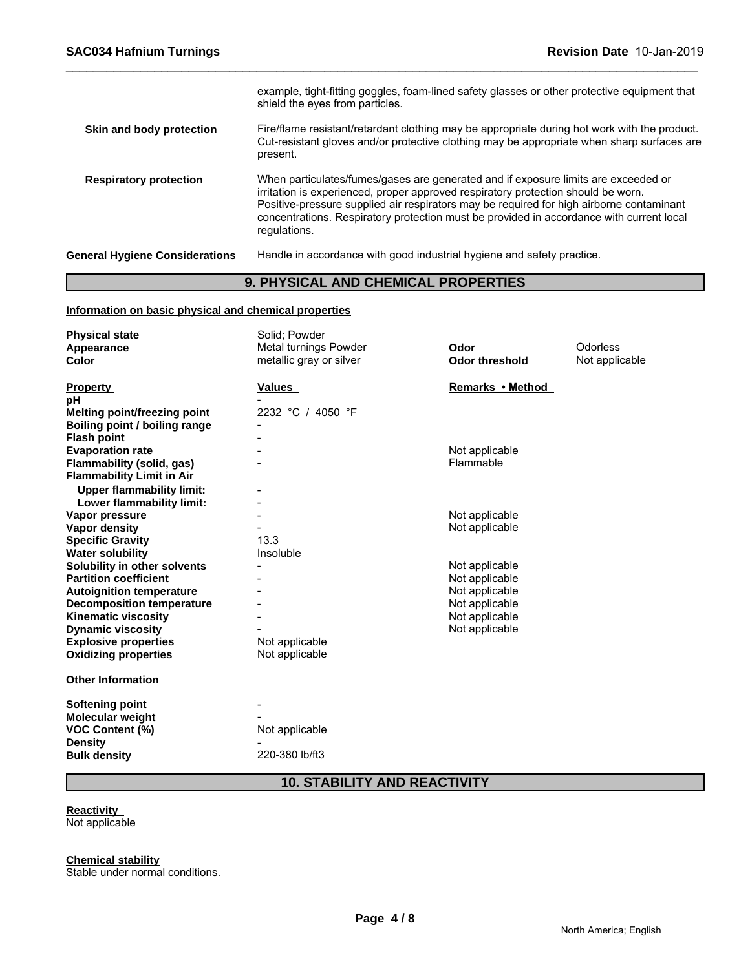| <b>General Hygiene Considerations</b> | Handle in accordance with good industrial hygiene and safety practice.                                                                                                                                                                                                                                                                                                          |
|---------------------------------------|---------------------------------------------------------------------------------------------------------------------------------------------------------------------------------------------------------------------------------------------------------------------------------------------------------------------------------------------------------------------------------|
| <b>Respiratory protection</b>         | When particulates/fumes/gases are generated and if exposure limits are exceeded or<br>irritation is experienced, proper approved respiratory protection should be worn.<br>Positive-pressure supplied air respirators may be required for high airborne contaminant<br>concentrations. Respiratory protection must be provided in accordance with current local<br>regulations. |
| Skin and body protection              | Fire/flame resistant/retardant clothing may be appropriate during hot work with the product.<br>Cut-resistant gloves and/or protective clothing may be appropriate when sharp surfaces are<br>present.                                                                                                                                                                          |
|                                       | example, tight-fitting goggles, foam-lined safety glasses or other protective equipment that<br>shield the eyes from particles.                                                                                                                                                                                                                                                 |

# **9. PHYSICAL AND CHEMICAL PROPERTIES**

#### **Information on basic physical and chemical properties**

| <b>Physical state</b>            | Solid; Powder           |                       |                |
|----------------------------------|-------------------------|-----------------------|----------------|
| Appearance                       | Metal turnings Powder   | Odor                  | Odorless       |
| <b>Color</b>                     | metallic gray or silver | <b>Odor threshold</b> | Not applicable |
|                                  |                         |                       |                |
| <b>Property</b>                  | Values                  | Remarks • Method      |                |
| рH                               |                         |                       |                |
| Melting point/freezing point     | 2232 °C / 4050 °F       |                       |                |
| Boiling point / boiling range    |                         |                       |                |
| <b>Flash point</b>               |                         |                       |                |
| <b>Evaporation rate</b>          |                         | Not applicable        |                |
| <b>Flammability (solid, gas)</b> |                         | Flammable             |                |
| <b>Flammability Limit in Air</b> |                         |                       |                |
| <b>Upper flammability limit:</b> |                         |                       |                |
| Lower flammability limit:        |                         |                       |                |
| Vapor pressure                   |                         | Not applicable        |                |
| <b>Vapor density</b>             |                         | Not applicable        |                |
| <b>Specific Gravity</b>          | 13.3                    |                       |                |
| <b>Water solubility</b>          | Insoluble               |                       |                |
| Solubility in other solvents     |                         | Not applicable        |                |
| <b>Partition coefficient</b>     |                         | Not applicable        |                |
| <b>Autoignition temperature</b>  |                         | Not applicable        |                |
| <b>Decomposition temperature</b> |                         | Not applicable        |                |
| <b>Kinematic viscosity</b>       |                         | Not applicable        |                |
| <b>Dynamic viscosity</b>         |                         | Not applicable        |                |
| <b>Explosive properties</b>      | Not applicable          |                       |                |
| <b>Oxidizing properties</b>      | Not applicable          |                       |                |
| <b>Other Information</b>         |                         |                       |                |
| Softening point                  |                         |                       |                |
| Molecular weight                 |                         |                       |                |
| <b>VOC Content (%)</b>           | Not applicable          |                       |                |
| <b>Density</b>                   |                         |                       |                |
| <b>Bulk density</b>              | 220-380 lb/ft3          |                       |                |
|                                  |                         |                       |                |

**10. STABILITY AND REACTIVITY**

### **Reactivity**

Not applicable

**Chemical stability**

Stable under normal conditions.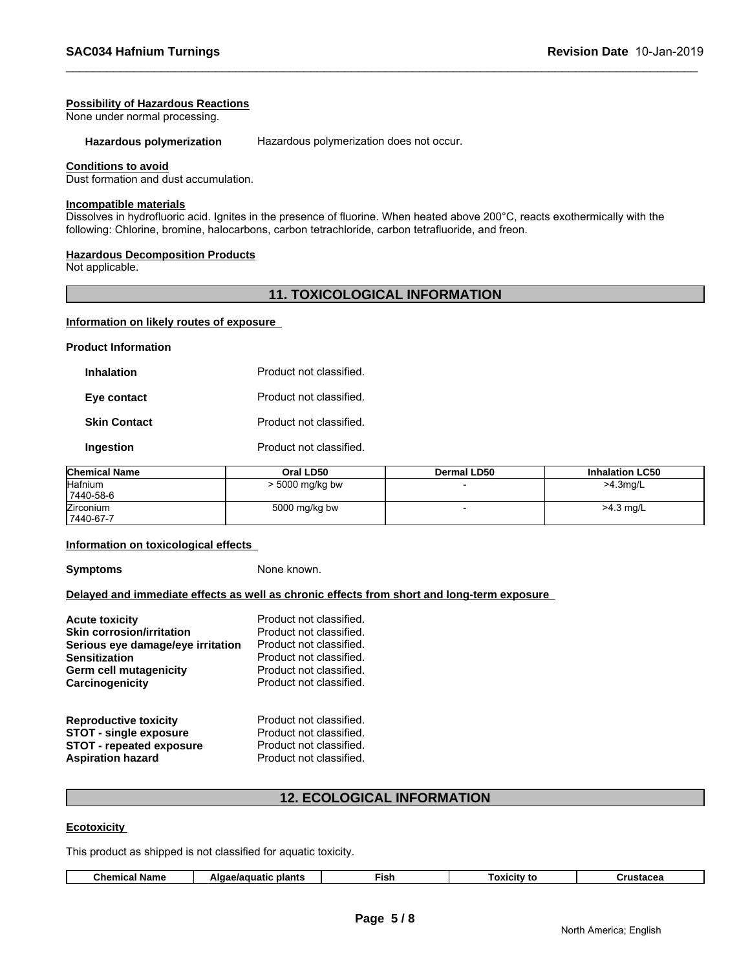#### **Possibility of Hazardous Reactions**

None under normal processing.

**Hazardous polymerization** Hazardous polymerization does not occur.

#### **Conditions to avoid**

Dust formation and dust accumulation.

#### **Incompatible materials**

Dissolves in hydrofluoric acid. Ignites in the presence of fluorine. When heated above 200°C, reacts exothermically with the following: Chlorine, bromine, halocarbons, carbon tetrachloride, carbon tetrafluoride, and freon.

#### **Hazardous Decomposition Products**

Not applicable.

#### **11. TOXICOLOGICAL INFORMATION**

#### **Information on likely routes of exposure**

**Product Information**

| <b>Inhalation</b>   | Product not classified. |
|---------------------|-------------------------|
| Eye contact         | Product not classified. |
| <b>Skin Contact</b> | Product not classified. |
| Ingestion           | Product not classified. |

| <b>Chemical Name</b> | Oral LD50       | <b>Dermal LD50</b> | <b>Inhalation LC50</b> |
|----------------------|-----------------|--------------------|------------------------|
| Hafnium              | > 5000 mg/kg bw |                    | >4.3mg/L               |
| 7440-58-6            |                 |                    |                        |
| <b>Zirconium</b>     | 5000 mg/kg bw   |                    | >4.3 mg/L              |
| 7440-67-7            |                 |                    |                        |

#### **Information on toxicological effects**

**Symptoms** None known.

#### **Delayed and immediate effects as well as chronic effects from short and long-term exposure**

| <b>Acute toxicity</b>             | Product not classified. |
|-----------------------------------|-------------------------|
| <b>Skin corrosion/irritation</b>  | Product not classified. |
| Serious eye damage/eye irritation | Product not classified. |
| <b>Sensitization</b>              | Product not classified. |
| Germ cell mutagenicity            | Product not classified. |
| Carcinogenicity                   | Product not classified. |
| <b>Reproductive toxicity</b>      | Product not classified. |
| <b>STOT - single exposure</b>     | Product not classified. |
| <b>STOT - repeated exposure</b>   | Product not classified. |
| <b>Aspiration hazard</b>          | Product not classified. |
|                                   |                         |

### **12. ECOLOGICAL INFORMATION**

#### **Ecotoxicity**

This product as shipped is not classified for aquatic toxicity.

| ≂ish<br>plants<br>uatic<br>Name<br>.<br>$\sim$<br>TCITV<br>. | nemical |
|--------------------------------------------------------------|---------|
|--------------------------------------------------------------|---------|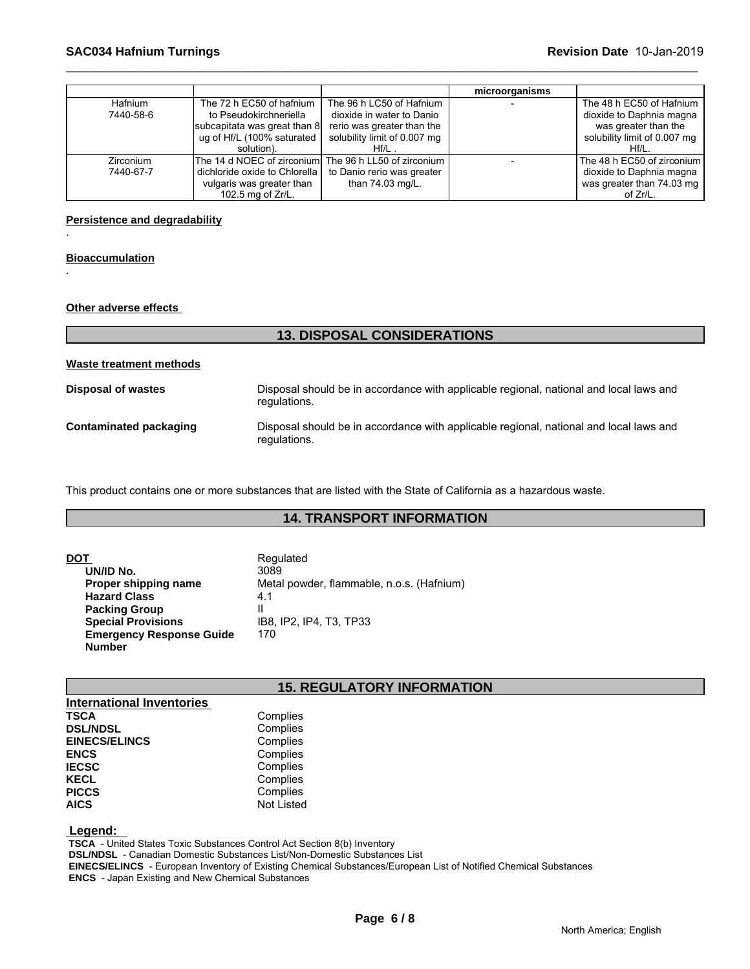|           |                                                       |                              | microorganisms |                              |
|-----------|-------------------------------------------------------|------------------------------|----------------|------------------------------|
| Hafnium   | The 72 h EC50 of hafnium                              | The 96 h LC50 of Hafnium     |                | The 48 h EC50 of Hafnium     |
| 7440-58-6 | to Pseudokirchneriella                                | dioxide in water to Danio    |                | dioxide to Daphnia magna     |
|           | subcapitata was great than 8                          | rerio was greater than the   |                | was greater than the         |
|           | ug of Hf/L (100% saturated                            | solubility limit of 0.007 mg |                | solubility limit of 0.007 mg |
|           | solution).                                            | $Hf/L$ .                     |                | $Hf/L$ .                     |
| Zirconium | The 14 d NOEC of zirconium The 96 h LL50 of zirconium |                              |                | The 48 h EC50 of zirconium I |
| 7440-67-7 | dichloride oxide to Chlorella                         | to Danio rerio was greater   |                | dioxide to Daphnia magna     |
|           | vulgaris was greater than                             | than 74.03 mg/L.             |                | was greater than 74.03 mg    |
|           | 102.5 mg of Zr/L.                                     |                              |                | of Zr/L.                     |

#### **Persistence and degradability**

#### **Bioaccumulation**

.

.

**Other adverse effects** 

| <b>13. DISPOSAL CONSIDERATIONS</b>                                                                     |
|--------------------------------------------------------------------------------------------------------|
|                                                                                                        |
| Disposal should be in accordance with applicable regional, national and local laws and<br>regulations. |
| Disposal should be in accordance with applicable regional, national and local laws and<br>regulations. |
|                                                                                                        |

This product contains one or more substances that are listed with the State of California as a hazardous waste.

# **14. TRANSPORT INFORMATION**

| DOT                             | Regulated                                 |
|---------------------------------|-------------------------------------------|
| UN/ID No.                       | 3089                                      |
| Proper shipping name            | Metal powder, flammable, n.o.s. (Hafnium) |
| <b>Hazard Class</b>             | 4.1                                       |
| <b>Packing Group</b>            |                                           |
| <b>Special Provisions</b>       | IB8. IP2. IP4. T3. TP33                   |
| <b>Emergency Response Guide</b> | 170                                       |
| <b>Number</b>                   |                                           |

# **15. REGULATORY INFORMATION**

| <b>International Inventories</b> |            |  |
|----------------------------------|------------|--|
| <b>TSCA</b>                      | Complies   |  |
| <b>DSL/NDSL</b>                  | Complies   |  |
| <b>EINECS/ELINCS</b>             | Complies   |  |
| <b>ENCS</b>                      | Complies   |  |
| <b>IECSC</b>                     | Complies   |  |
| <b>KECL</b>                      | Complies   |  |
| <b>PICCS</b>                     | Complies   |  |
| <b>AICS</b>                      | Not Listed |  |

 **Legend:** 

 **TSCA** - United States Toxic Substances Control Act Section 8(b) Inventory

 **DSL/NDSL** - Canadian Domestic Substances List/Non-Domestic Substances List

 **EINECS/ELINCS** - European Inventory of Existing Chemical Substances/European List of Notified Chemical Substances  **ENCS** - Japan Existing and New Chemical Substances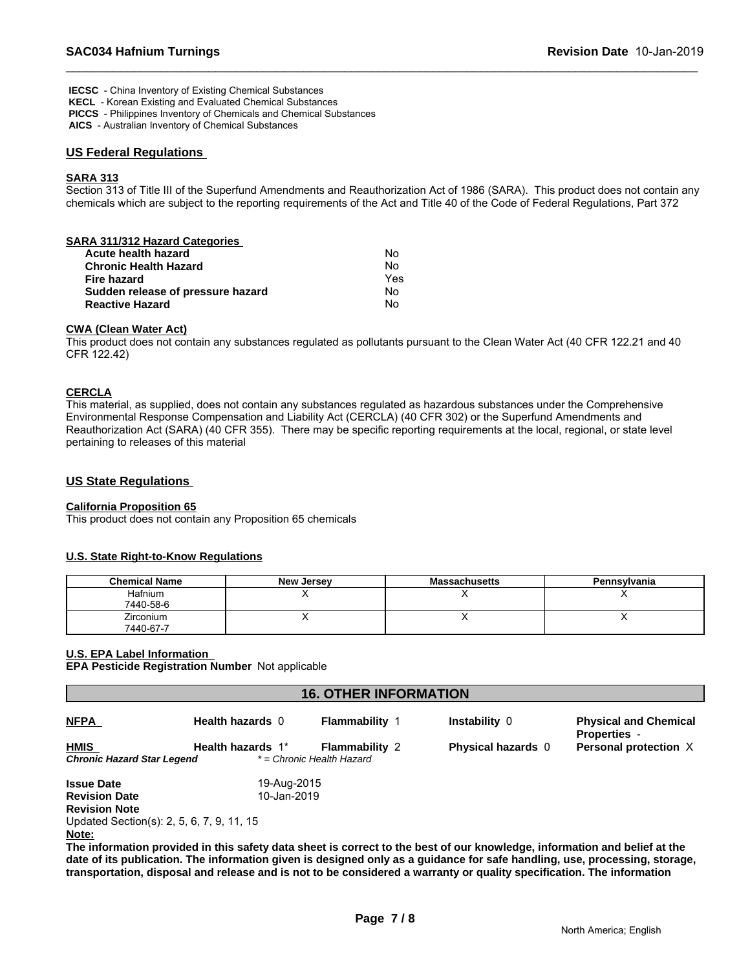**IECSC** - China Inventory of Existing Chemical Substances

 **KECL** - Korean Existing and Evaluated Chemical Substances  **PICCS** - Philippines Inventory of Chemicals and Chemical Substances

 **AICS** - Australian Inventory of Chemical Substances

#### **US Federal Regulations**

#### **SARA 313**

Section 313 of Title III of the Superfund Amendments and Reauthorization Act of 1986 (SARA). This product does not contain any chemicals which are subject to the reporting requirements of the Act and Title 40 of the Code of Federal Regulations, Part 372

| SARA 311/312 Hazard Categories    |     |  |
|-----------------------------------|-----|--|
| Acute health hazard               | No  |  |
| <b>Chronic Health Hazard</b>      | No  |  |
| Fire hazard                       | Yes |  |
| Sudden release of pressure hazard | No  |  |
| <b>Reactive Hazard</b>            | No  |  |
|                                   |     |  |

#### **CWA (Clean Water Act)**

This product does not contain any substances regulated as pollutants pursuant to the Clean Water Act (40 CFR 122.21 and 40 CFR 122.42)

#### **CERCLA**

This material, as supplied, does not contain any substances regulated as hazardous substances under the Comprehensive Environmental Response Compensation and Liability Act (CERCLA) (40 CFR 302) or the Superfund Amendments and Reauthorization Act (SARA) (40 CFR 355). There may be specific reporting requirements at the local, regional, or state level pertaining to releases of this material

#### **US State Regulations**

#### **California Proposition 65**

This product does not contain any Proposition 65 chemicals

#### **U.S. State Right-to-Know Regulations**

| <b>Chemical Name</b> | <b>New Jersey</b> | <b>Massachusetts</b> | Pennsylvania |
|----------------------|-------------------|----------------------|--------------|
| Hafnium              |                   |                      |              |
| 7440-58-6            |                   |                      |              |
| Zirconium            |                   |                      |              |
| 7440-67-7            |                   |                      |              |

#### **U.S. EPA Label Information**

**EPA Pesticide Registration Number** Not applicable

| <b>16. OTHER INFORMATION</b>              |                   |                                                    |                                                                                                                           |                                                     |  |
|-------------------------------------------|-------------------|----------------------------------------------------|---------------------------------------------------------------------------------------------------------------------------|-----------------------------------------------------|--|
| <b>NFPA</b>                               | Health hazards 0  | <b>Flammability 1</b>                              | Instability 0                                                                                                             | <b>Physical and Chemical</b><br><b>Properties -</b> |  |
| <b>HMIS</b><br>Chronic Hazard Star Legend | Health hazards 1* | <b>Flammability 2</b><br>* = Chronic Health Hazard | <b>Physical hazards</b> 0                                                                                                 | Personal protection X                               |  |
| <b>Issue Date</b>                         | 19-Aug-2015       |                                                    |                                                                                                                           |                                                     |  |
| <b>Revision Date</b>                      | 10-Jan-2019       |                                                    |                                                                                                                           |                                                     |  |
| <b>Revision Note</b>                      |                   |                                                    |                                                                                                                           |                                                     |  |
| Updated Section(s): 2, 5, 6, 7, 9, 11, 15 |                   |                                                    |                                                                                                                           |                                                     |  |
| Note:                                     |                   |                                                    |                                                                                                                           |                                                     |  |
|                                           |                   |                                                    | The information provided in this safety data sheet is correct to the best of our knowledge, information and belief at the |                                                     |  |

**I** provided in this safety data sheet is correct to the best of our knowledge, information and **b date of its publication. The information given is designed only as a guidance for safe handling, use, processing, storage, transportation, disposal and release and is not to be considered a warranty or quality specification. The information**